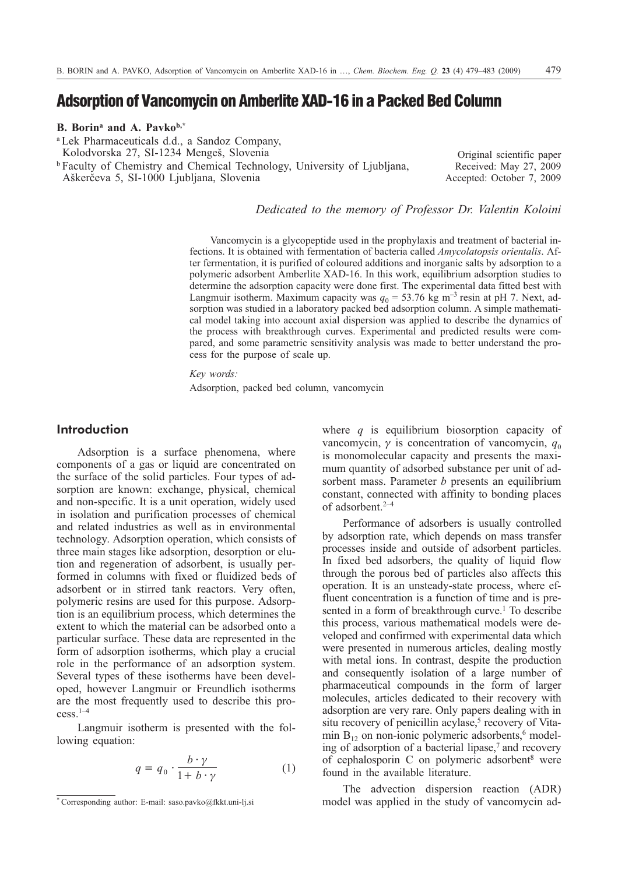# **Adsorption of Vancomycin on Amberlite XAD-16 in a Packed Bed Column**

## **B. Borina and A. Pavkob,\***

<sup>a</sup> Lek Pharmaceuticals d.d., a Sandoz Company, Kolodvorska 27, SI-1234 Mengeš, Slovenia <sup>b</sup> Faculty of Chemistry and Chemical Technology, University of Ljubljana, Aškerèeva 5, SI-1000 Ljubljana, Slovenia

Original scientific paper Received: May 27, 2009 Accepted: October 7, 2009

*Dedicated to the memory of Professor Dr. Valentin Koloini*

Vancomycin is a glycopeptide used in the prophylaxis and treatment of bacterial infections. It is obtained with fermentation of bacteria called *Amycolatopsis orientalis*. After fermentation, it is purified of coloured additions and inorganic salts by adsorption to a polymeric adsorbent Amberlite XAD-16. In this work, equilibrium adsorption studies to determine the adsorption capacity were done first. The experimental data fitted best with Langmuir isotherm. Maximum capacity was  $q_0 = 53.76$  kg m<sup>-3</sup> resin at pH 7. Next, adsorption was studied in a laboratory packed bed adsorption column. A simple mathematical model taking into account axial dispersion was applied to describe the dynamics of the process with breakthrough curves. Experimental and predicted results were compared, and some parametric sensitivity analysis was made to better understand the process for the purpose of scale up.

*Key words:* Adsorption, packed bed column, vancomycin

# **Introduction**

Adsorption is a surface phenomena, where components of a gas or liquid are concentrated on the surface of the solid particles. Four types of adsorption are known: exchange, physical, chemical and non-specific. It is a unit operation, widely used in isolation and purification processes of chemical and related industries as well as in environmental technology. Adsorption operation, which consists of three main stages like adsorption, desorption or elution and regeneration of adsorbent, is usually performed in columns with fixed or fluidized beds of adsorbent or in stirred tank reactors. Very often, polymeric resins are used for this purpose. Adsorption is an equilibrium process, which determines the extent to which the material can be adsorbed onto a particular surface. These data are represented in the form of adsorption isotherms, which play a crucial role in the performance of an adsorption system. Several types of these isotherms have been developed, however Langmuir or Freundlich isotherms are the most frequently used to describe this process.1–4

Langmuir isotherm is presented with the following equation:

$$
q = q_0 \cdot \frac{b \cdot \gamma}{1 + b \cdot \gamma} \tag{1}
$$

where *q* is equilibrium biosorption capacity of vancomycin,  $\gamma$  is concentration of vancomycin,  $q_0$ is monomolecular capacity and presents the maximum quantity of adsorbed substance per unit of adsorbent mass. Parameter *b* presents an equilibrium constant, connected with affinity to bonding places of adsorbent.2–4

Performance of adsorbers is usually controlled by adsorption rate, which depends on mass transfer processes inside and outside of adsorbent particles. In fixed bed adsorbers, the quality of liquid flow through the porous bed of particles also affects this operation. It is an unsteady-state process, where effluent concentration is a function of time and is presented in a form of breakthrough curve.<sup>1</sup> To describe this process, various mathematical models were developed and confirmed with experimental data which were presented in numerous articles, dealing mostly with metal ions. In contrast, despite the production and consequently isolation of a large number of pharmaceutical compounds in the form of larger molecules, articles dedicated to their recovery with adsorption are very rare. Only papers dealing with in situ recovery of penicillin acylase,<sup>5</sup> recovery of Vitamin  $B_{12}$  on non-ionic polymeric adsorbents,<sup>6</sup> modeling of adsorption of a bacterial lipase, $\alpha$  and recovery of cephalosporin C on polymeric adsorbent<sup>8</sup> were found in the available literature.

The advection dispersion reaction (ADR) model was applied in the study of vancomycin ad-

<sup>\*</sup> Corresponding author: E-mail: saso.pavko@fkkt.uni-lj.si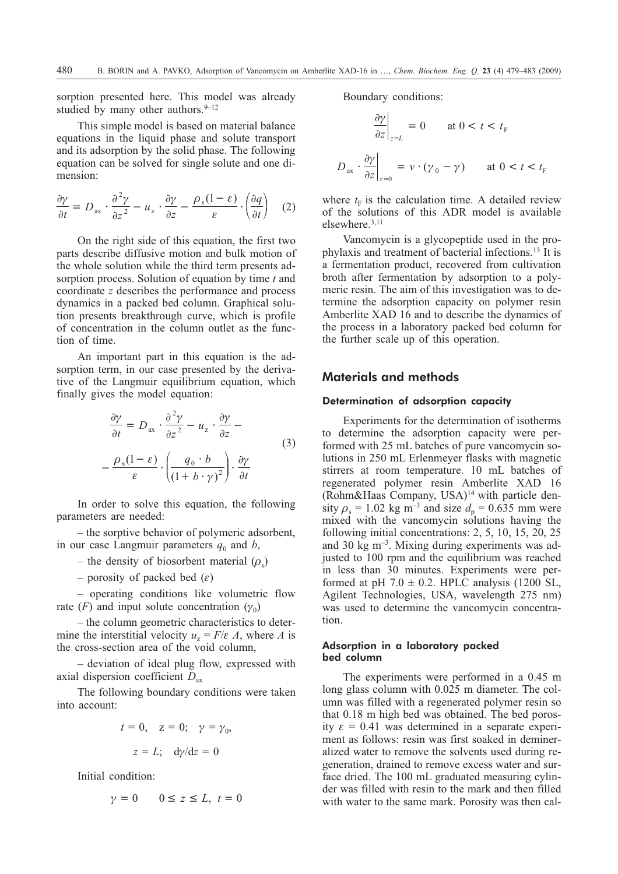sorption presented here. This model was already studied by many other authors.  $9-12$ 

This simple model is based on material balance equations in the liquid phase and solute transport and its adsorption by the solid phase. The following equation can be solved for single solute and one dimension:

$$
\frac{\partial \gamma}{\partial t} = D_{\text{ax}} \cdot \frac{\partial^2 \gamma}{\partial z^2} - u_z \cdot \frac{\partial \gamma}{\partial z} - \frac{\rho_s (1 - \varepsilon)}{\varepsilon} \cdot \left(\frac{\partial q}{\partial t}\right) \quad (2)
$$

On the right side of this equation, the first two parts describe diffusive motion and bulk motion of the whole solution while the third term presents adsorption process. Solution of equation by time *t* and coordinate *z* describes the performance and process dynamics in a packed bed column. Graphical solution presents breakthrough curve, which is profile of concentration in the column outlet as the function of time.

An important part in this equation is the adsorption term, in our case presented by the derivative of the Langmuir equilibrium equation, which finally gives the model equation:

$$
\frac{\partial \gamma}{\partial t} = D_{\text{ax}} \cdot \frac{\partial^2 \gamma}{\partial z^2} - u_z \cdot \frac{\partial \gamma}{\partial z} - \frac{\partial \gamma}{\partial z} - \frac{\rho_s (1 - \varepsilon)}{\varepsilon} \cdot \left( \frac{q_0 \cdot b}{(1 + b \cdot \gamma)^2} \right) \cdot \frac{\partial \gamma}{\partial t}
$$
\n(3)

In order to solve this equation, the following parameters are needed:

– the sorptive behavior of polymeric adsorbent, in our case Langmuir parameters  $q_0$  and  $b$ ,

- the density of biosorbent material  $(\rho_s)$
- porosity of packed bed  $(\varepsilon)$

– operating conditions like volumetric flow rate  $(F)$  and input solute concentration  $(\gamma_0)$ 

– the column geometric characteristics to determine the interstitial velocity  $u_z = F/\varepsilon A$ , where *A* is the cross-section area of the void column,

– deviation of ideal plug flow, expressed with axial dispersion coefficient *D*ax

The following boundary conditions were taken into account:

$$
t = 0, \quad z = 0; \quad \gamma = \gamma_0,
$$

$$
z = L; \quad d\gamma/dz = 0
$$

Initial condition:

$$
\gamma = 0 \qquad 0 \le z \le L, \ t = 0
$$

Boundary conditions:

$$
\left. \frac{\partial \gamma}{\partial z} \right|_{z=L} = 0 \quad \text{at } 0 < t < t_F
$$
\n
$$
D_{\text{ax}} \cdot \left. \frac{\partial \gamma}{\partial z} \right|_{z=0} = v \cdot (\gamma_0 - \gamma) \quad \text{at } 0 < t < t_F
$$

where  $t_F$  is the calculation time. A detailed review of the solutions of this ADR model is available elsewhere.3,11

Vancomycin is a glycopeptide used in the prophylaxis and treatment of bacterial infections.13 It is a fermentation product, recovered from cultivation broth after fermentation by adsorption to a polymeric resin. The aim of this investigation was to determine the adsorption capacity on polymer resin Amberlite XAD 16 and to describe the dynamics of the process in a laboratory packed bed column for the further scale up of this operation.

# **Materials and methods**

#### Determination of adsorption capacity

Experiments for the determination of isotherms to determine the adsorption capacity were performed with 25 mL batches of pure vancomycin solutions in 250 mL Erlenmeyer flasks with magnetic stirrers at room temperature. 10 mL batches of regenerated polymer resin Amberlite XAD 16 (Rohm&Haas Company, USA) $14$  with particle density  $\rho_s = 1.02$  kg m<sup>-3</sup> and size  $d_p = 0.635$  mm were mixed with the vancomycin solutions having the following initial concentrations: 2, 5, 10, 15, 20, 25 and 30 kg  $\mathrm{m}^{-3}$ . Mixing during experiments was adjusted to 100 rpm and the equilibrium was reached in less than 30 minutes. Experiments were performed at pH 7.0  $\pm$  0.2. HPLC analysis (1200 SL, Agilent Technologies, USA, wavelength 275 nm) was used to determine the vancomycin concentration.

#### Adsorption in a laboratory packed bed column

The experiments were performed in a 0.45 m long glass column with 0.025 m diameter. The column was filled with a regenerated polymer resin so that 0.18 m high bed was obtained. The bed porosity  $\varepsilon = 0.41$  was determined in a separate experiment as follows: resin was first soaked in demineralized water to remove the solvents used during regeneration, drained to remove excess water and surface dried. The 100 mL graduated measuring cylinder was filled with resin to the mark and then filled with water to the same mark. Porosity was then cal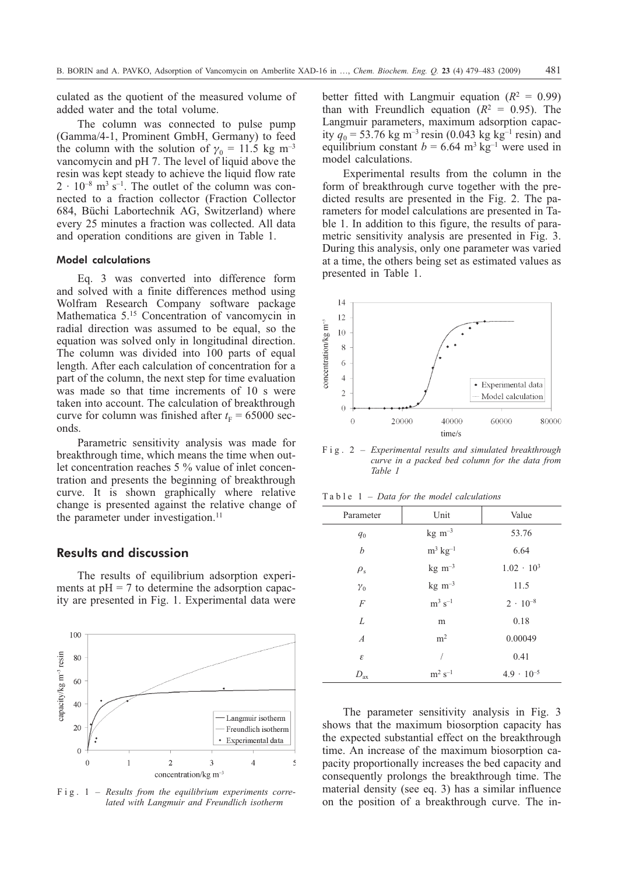culated as the quotient of the measured volume of added water and the total volume.

The column was connected to pulse pump (Gamma/4-1, Prominent GmbH, Germany) to feed the column with the solution of  $\gamma_0 = 11.5$  kg m<sup>-3</sup> vancomycin and pH 7. The level of liquid above the resin was kept steady to achieve the liquid flow rate  $2 \cdot 10^{-8}$  m<sup>3</sup> s<sup>-1</sup>. The outlet of the column was connected to a fraction collector (Fraction Collector 684, Büchi Labortechnik AG, Switzerland) where every 25 minutes a fraction was collected. All data and operation conditions are given in Table 1.

## Model calculations

Eq. 3was converted into difference form and solved with a finite differences method using Wolfram Research Company software package Mathematica 5.15 Concentration of vancomycin in radial direction was assumed to be equal, so the equation was solved only in longitudinal direction. The column was divided into 100 parts of equal length. After each calculation of concentration for a part of the column, the next step for time evaluation was made so that time increments of 10 s were taken into account. The calculation of breakthrough curve for column was finished after  $t_F = 65000$  seconds.

Parametric sensitivity analysis was made for breakthrough time, which means the time when outlet concentration reaches 5 % value of inlet concentration and presents the beginning of breakthrough curve. It is shown graphically where relative change is presented against the relative change of the parameter under investigation.<sup>11</sup>

# **Results and discussion**

The results of equilibrium adsorption experiments at  $pH = 7$  to determine the adsorption capacity are presented in Fig. 1. Experimental data were



Fig. 1 – *Results from the equilibrium experiments correlated with Langmuir and Freundlich isotherm*

better fitted with Langmuir equation  $(R^2 = 0.99)$ than with Freundlich equation  $(R^2 = 0.95)$ . The Langmuir parameters, maximum adsorption capacity  $q_0 = 53.76$  kg m<sup>-3</sup> resin (0.043 kg kg<sup>-1</sup> resin) and equilibrium constant  $b = 6.64$  m<sup>3</sup> kg<sup>-1</sup> were used in model calculations.

Experimental results from the column in the form of breakthrough curve together with the predicted results are presented in the Fig. 2. The parameters for model calculations are presented in Table 1. In addition to this figure, the results of parametric sensitivity analysis are presented in Fig. 3. During this analysis, only one parameter was varied at a time, the others being set as estimated values as presented in Table 1.



Fig. 2 – *Experimental results and simulated breakthrough curve in a packed bed column for the data from Table 1*

| Parameter                   | Unit                   | Value               |
|-----------------------------|------------------------|---------------------|
| $q_0$                       | $kg \, m^{-3}$         | 53.76               |
| b                           | $m^3$ kg <sup>-1</sup> | 6.64                |
| $\rho_{\rm s}$              | $kg \, m^{-3}$         | $1.02 \cdot 10^3$   |
| $\gamma_0$                  | $kg \, m^{-3}$         | 11.5                |
| $\overline{F}$              | $m^3$ s <sup>-1</sup>  | $2 \cdot 10^{-8}$   |
| L                           | m                      | 0.18                |
| $\boldsymbol{A}$            | m <sup>2</sup>         | 0.00049             |
| $\mathcal{E}_{\mathcal{E}}$ |                        | 0.41                |
| $D_{\rm ax}$                | $m^2 s^{-1}$           | $4.9 \cdot 10^{-5}$ |

Table 1 – *Data for the model calculations*

The parameter sensitivity analysis in Fig. 3 shows that the maximum biosorption capacity has the expected substantial effect on the breakthrough time. An increase of the maximum biosorption capacity proportionally increases the bed capacity and consequently prolongs the breakthrough time. The material density (see eq. 3) has a similar influence on the position of a breakthrough curve. The in-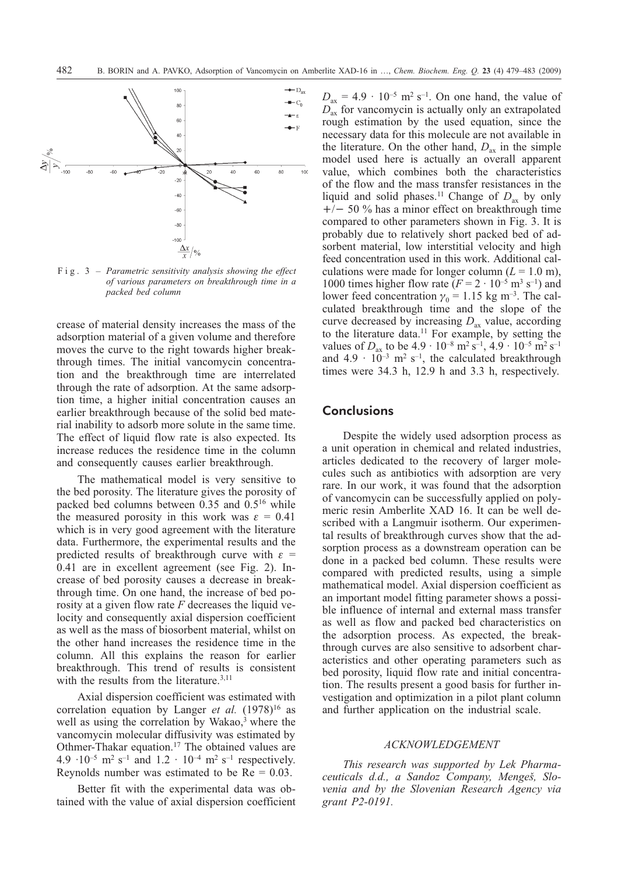

Fig. 3 – *Parametric sensitivity analysis showing the effect of various parameters on breakthrough time in a packed bed column*

crease of material density increases the mass of the adsorption material of a given volume and therefore moves the curve to the right towards higher breakthrough times. The initial vancomycin concentration and the breakthrough time are interrelated through the rate of adsorption. At the same adsorption time, a higher initial concentration causes an earlier breakthrough because of the solid bed material inability to adsorb more solute in the same time. The effect of liquid flow rate is also expected. Its increase reduces the residence time in the column and consequently causes earlier breakthrough.

The mathematical model is very sensitive to the bed porosity. The literature gives the porosity of packed bed columns between 0.35 and 0.516 while the measured porosity in this work was  $\varepsilon = 0.41$ which is in very good agreement with the literature data. Furthermore, the experimental results and the predicted results of breakthrough curve with  $\varepsilon =$ 0.41 are in excellent agreement (see Fig. 2). Increase of bed porosity causes a decrease in breakthrough time. On one hand, the increase of bed porosity at a given flow rate *F* decreases the liquid velocity and consequently axial dispersion coefficient as well as the mass of biosorbent material, whilst on the other hand increases the residence time in the column. All this explains the reason for earlier breakthrough. This trend of results is consistent with the results from the literature.<sup>3,11</sup>

Axial dispersion coefficient was estimated with correlation equation by Langer *et al.* (1978)<sup>16</sup> as well as using the correlation by Wakao,<sup>3</sup> where the vancomycin molecular diffusivity was estimated by Othmer-Thakar equation.17 The obtained values are 4.9  $\cdot 10^{-5}$  m<sup>2</sup> s<sup>-1</sup> and 1.2  $\cdot 10^{-4}$  m<sup>2</sup> s<sup>-1</sup> respectively. Reynolds number was estimated to be  $Re = 0.03$ .

Better fit with the experimental data was obtained with the value of axial dispersion coefficient

 $D_{ax} = 4.9 \cdot 10^{-5}$  m<sup>2</sup> s<sup>-1</sup>. On one hand, the value of *D*ax for vancomycin is actually only an extrapolated rough estimation by the used equation, since the necessary data for this molecule are not available in the literature. On the other hand,  $D_{ax}$  in the simple model used here is actually an overall apparent value, which combines both the characteristics of the flow and the mass transfer resistances in the liquid and solid phases.<sup>11</sup> Change of  $D_{ax}$  by only  $+/-$  50 % has a minor effect on breakthrough time compared to other parameters shown in Fig. 3. It is probably due to relatively short packed bed of adsorbent material, low interstitial velocity and high feed concentration used in this work. Additional calculations were made for longer column  $(L = 1.0 \text{ m})$ , 1000 times higher flow rate  $(F = 2 \cdot 10^{-5} \text{ m}^3 \text{ s}^{-1})$  and lower feed concentration  $\gamma_0 = 1.15$  kg m<sup>-3</sup>. The calculated breakthrough time and the slope of the curve decreased by increasing  $D_{ax}$  value, according to the literature data.<sup>11</sup> For example, by setting the values of  $D_{ax}$  to be  $4.9 \cdot 10^{-8}$  m<sup>2</sup> s<sup>-1</sup>,  $4.9 \cdot 10^{-5}$  m<sup>2</sup> s<sup>-1</sup> and  $4.9 \cdot 10^{-3}$  m<sup>2</sup> s<sup>-1</sup>, the calculated breakthrough times were 34.3 h, 12.9 h and 3.3 h, respectively.

# **Conclusions**

Despite the widely used adsorption process as a unit operation in chemical and related industries, articles dedicated to the recovery of larger molecules such as antibiotics with adsorption are very rare. In our work, it was found that the adsorption of vancomycin can be successfully applied on polymeric resin Amberlite XAD 16. It can be well described with a Langmuir isotherm. Our experimental results of breakthrough curves show that the adsorption process as a downstream operation can be done in a packed bed column. These results were compared with predicted results, using a simple mathematical model. Axial dispersion coefficient as an important model fitting parameter shows a possible influence of internal and external mass transfer as well as flow and packed bed characteristics on the adsorption process. As expected, the breakthrough curves are also sensitive to adsorbent characteristics and other operating parameters such as bed porosity, liquid flow rate and initial concentration. The results present a good basis for further investigation and optimization in a pilot plant column and further application on the industrial scale.

#### *ACKNOWLEDGEMENT*

*This research was supported by Lek Pharma*ceuticals d.d., a Sandoz Company, Mengeš, Slo*venia and by the Slovenian Research Agency via grant P2-0191.*